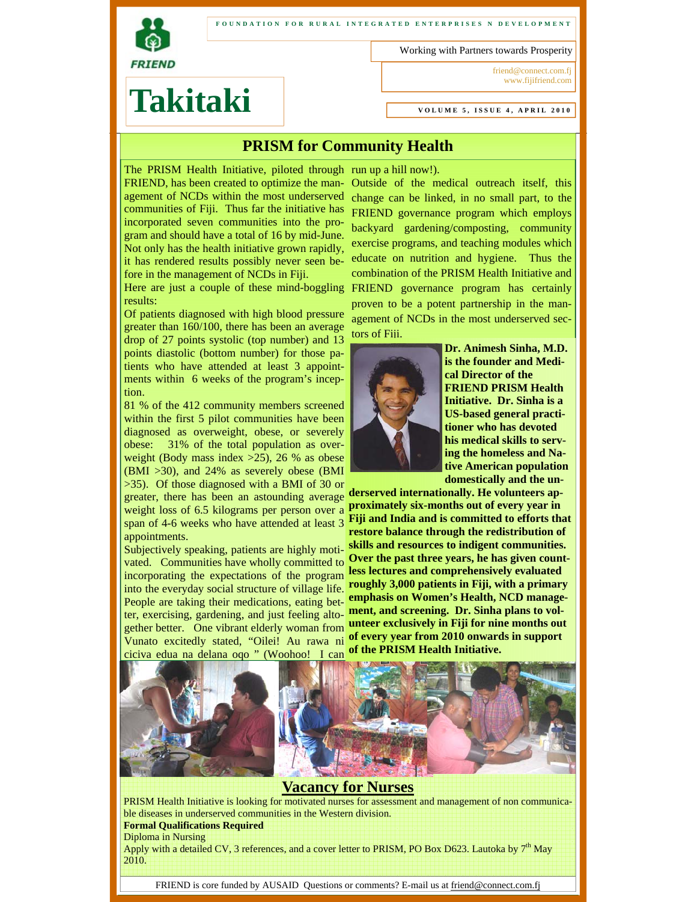

#### **FOUNDATION FOR RURAL INTEGRATED ENTERPRISES N DEVELOPMENT**

Working with Partners towards Prosperity

friend@connect.com.fj www.fijifriend.com

# **Takitaki**

**VOLUME 5, ISSUE 4, APRIL 2010** 

## **PRISM for Community Health**

The PRISM Health Initiative, piloted through run up a hill now!). FRIEND, has been created to optimize the management of NCDs within the most underserved communities of Fiji. Thus far the initiative has incorporated seven communities into the program and should have a total of 16 by mid-June. Not only has the health initiative grown rapidly, it has rendered results possibly never seen before in the management of NCDs in Fiji.

Here are just a couple of these mind-boggling results:

Of patients diagnosed with high blood pressure greater than 160/100, there has been an average drop of 27 points systolic (top number) and 13 points diastolic (bottom number) for those patients who have attended at least 3 appointments within 6 weeks of the program's inception.

81 % of the 412 community members screened within the first 5 pilot communities have been diagnosed as overweight, obese, or severely obese: 31% of the total population as overweight (Body mass index >25), 26 % as obese (BMI >30), and 24% as severely obese (BMI >35). Of those diagnosed with a BMI of 30 or

greater, there has been an astounding average **derserved internationally. He volunteers ap**weight loss of 6.5 kilograms per person over a span of 4-6 weeks who have attended at least 3 appointments.

Subjectively speaking, patients are highly motivated. Communities have wholly committed to incorporating the expectations of the program into the everyday social structure of village life. People are taking their medications, eating better, exercising, gardening, and just feeling altogether better. One vibrant elderly woman from Vunato excitedly stated, "Oilei! Au rawa ni ciciva edua na delana oqo " (Woohoo! I can

Outside of the medical outreach itself, this change can be linked, in no small part, to the FRIEND governance program which employs backyard gardening/composting, community exercise programs, and teaching modules which educate on nutrition and hygiene. Thus the combination of the PRISM Health Initiative and FRIEND governance program has certainly proven to be a potent partnership in the management of NCDs in the most underserved sectors of Fiji.



**Dr. Animesh Sinha, M.D. is the founder and Medical Director of the FRIEND PRISM Health Initiative. Dr. Sinha is a US-based general practitioner who has devoted his medical skills to serving the homeless and Native American population domestically and the un-**

**proximately six-months out of every year in Fiji and India and is committed to efforts that restore balance through the redistribution of skills and resources to indigent communities. Over the past three years, he has given countless lectures and comprehensively evaluated roughly 3,000 patients in Fiji, with a primary emphasis on Women's Health, NCD management, and screening. Dr. Sinha plans to volunteer exclusively in Fiji for nine months out of every year from 2010 onwards in support of the PRISM Health Initiative.** 



#### **Vacancy for Nurses**

PRISM Health Initiative is looking for motivated nurses for assessment and management of non communicable diseases in underserved communities in the Western division. **Formal Qualifications Required** 

Diploma in Nursing

Apply with a detailed CV, 3 references, and a cover letter to PRISM, PO Box D623. Lautoka by  $7<sup>th</sup>$  May 2010.

FRIEND is core funded by AUSAID Questions or comments? E-mail us at friend@connect.com.fj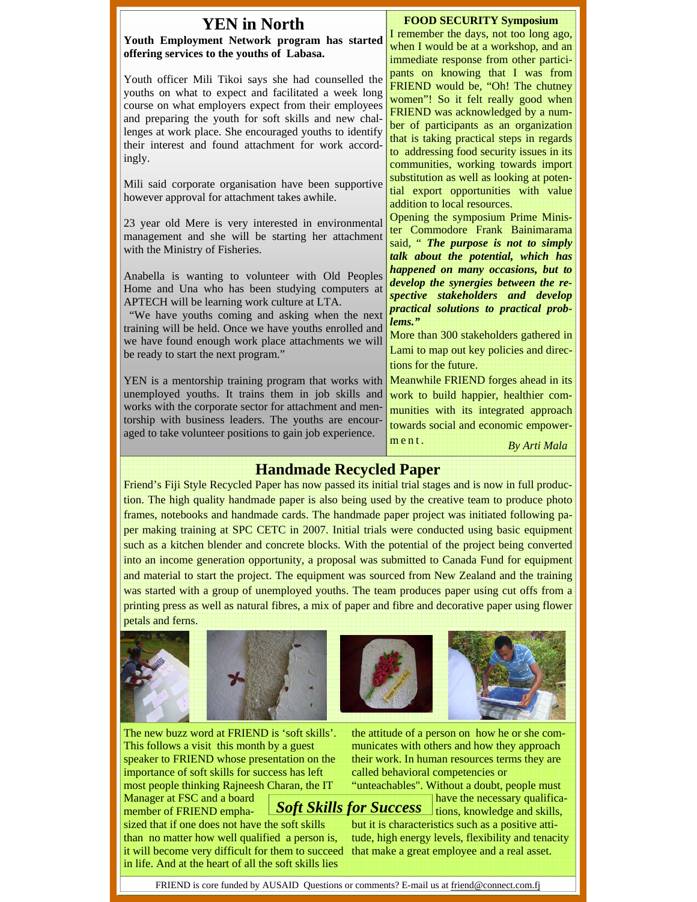|  | <b>YEN</b> in North<br>Youth Employment Network program has started<br>offering services to the youths of Labasa.                                                                                                                                                                                                                                                 | <b>FOOD SECURITY Symposium</b><br>I remember the days, not too long ago,<br>when I would be at a workshop, and an<br>immediate response from other partici-                                                                                                                                                                  |  |
|--|-------------------------------------------------------------------------------------------------------------------------------------------------------------------------------------------------------------------------------------------------------------------------------------------------------------------------------------------------------------------|------------------------------------------------------------------------------------------------------------------------------------------------------------------------------------------------------------------------------------------------------------------------------------------------------------------------------|--|
|  | Youth officer Mili Tikoi says she had counselled the<br>youths on what to expect and facilitated a week long<br>course on what employers expect from their employees<br>and preparing the youth for soft skills and new chal-<br>lenges at work place. She encouraged youths to identify<br>their interest and found attachment for work accord-<br>ingly.        | pants on knowing that I was from<br>FRIEND would be, "Oh! The chutney<br>women"! So it felt really good when<br>FRIEND was acknowledged by a num-<br>ber of participants as an organization<br>that is taking practical steps in regards<br>to addressing food security issues in its<br>communities, working towards import |  |
|  | Mili said corporate organisation have been supportive<br>however approval for attachment takes awhile.                                                                                                                                                                                                                                                            | substitution as well as looking at poten-<br>tial export opportunities with value<br>addition to local resources.                                                                                                                                                                                                            |  |
|  | 23 year old Mere is very interested in environmental<br>management and she will be starting her attachment<br>with the Ministry of Fisheries.                                                                                                                                                                                                                     | Opening the symposium Prime Minis-<br>ter Commodore Frank Bainimarama<br>said, " The purpose is not to simply<br>talk about the potential, which has                                                                                                                                                                         |  |
|  | Anabella is wanting to volunteer with Old Peoples<br>Home and Una who has been studying computers at<br>APTECH will be learning work culture at LTA.<br>"We have youths coming and asking when the next<br>training will be held. Once we have youths enrolled and<br>we have found enough work place attachments we will<br>be ready to start the next program." | happened on many occasions, but to<br>develop the synergies between the re-<br>spective stakeholders and develop<br>practical solutions to practical prob-<br>lems."<br>More than 300 stakeholders gathered in<br>Lami to map out key policies and direc-<br>tions for the future.                                           |  |
|  | YEN is a mentorship training program that works with<br>unemployed youths. It trains them in job skills and<br>works with the corporate sector for attachment and men-<br>torship with business leaders. The youths are encour-<br>aged to take volunteer positions to gain job experience.                                                                       | Meanwhile FRIEND forges ahead in its<br>work to build happier, healthier com-<br>munities with its integrated approach<br>towards social and economic empower-<br>ment.<br>By Arti Mala                                                                                                                                      |  |
|  | <b>Handmade Recycled Paper</b>                                                                                                                                                                                                                                                                                                                                    |                                                                                                                                                                                                                                                                                                                              |  |
|  | Friend's Fiji Style Recycled Paper has now passed its initial trial stages and is now in full produc-<br>tion. The high quality handmade paper is also being used by the creative team to produce photo                                                                                                                                                           |                                                                                                                                                                                                                                                                                                                              |  |
|  |                                                                                                                                                                                                                                                                                                                                                                   |                                                                                                                                                                                                                                                                                                                              |  |
|  | frames, notebooks and handmade cards. The handmade paper project was initiated following pa-<br>per making training at SPC CETC in 2007. Initial trials were conducted using basic equipment                                                                                                                                                                      |                                                                                                                                                                                                                                                                                                                              |  |
|  | such as a kitchen blender and concrete blocks. With the potential of the project being converted                                                                                                                                                                                                                                                                  |                                                                                                                                                                                                                                                                                                                              |  |
|  | into an income generation opportunity, a proposal was submitted to Canada Fund for equipment                                                                                                                                                                                                                                                                      |                                                                                                                                                                                                                                                                                                                              |  |

printing press as well as natural fibres, a mix of paper and fibre and decorative paper using flower petals and ferns.



The new buzz word at FRIEND is 'soft skills'. This follows a visit this month by a guest speaker to FRIEND whose presentation on the importance of soft skills for success has left most people thinking Rajneesh Charan, the IT

the attitude of a person on how he or she communicates with others and how they approach their work. In human resources terms they are called behavioral competencies or

"unteachables". Without a doubt, people must have the necessary qualifica-*Soft Skills for Success* ions, knowledge and skills,

member of FRIEND emphasized that if one does not have the soft skills than no matter how well qualified a person is, it will become very difficult for them to succeed in life. And at the heart of all the soft skills lies

Manager at FSC and a board

but it is characteristics such as a positive attitude, high energy levels, flexibility and tenacity that make a great employee and a real asset.

FRIEND is core funded by AUSAID Questions or comments? E-mail us at friend@connect.com.fj

and material to start the project. The equipment was sourced from New Zealand and the training was started with a group of unemployed youths. The team produces paper using cut offs from a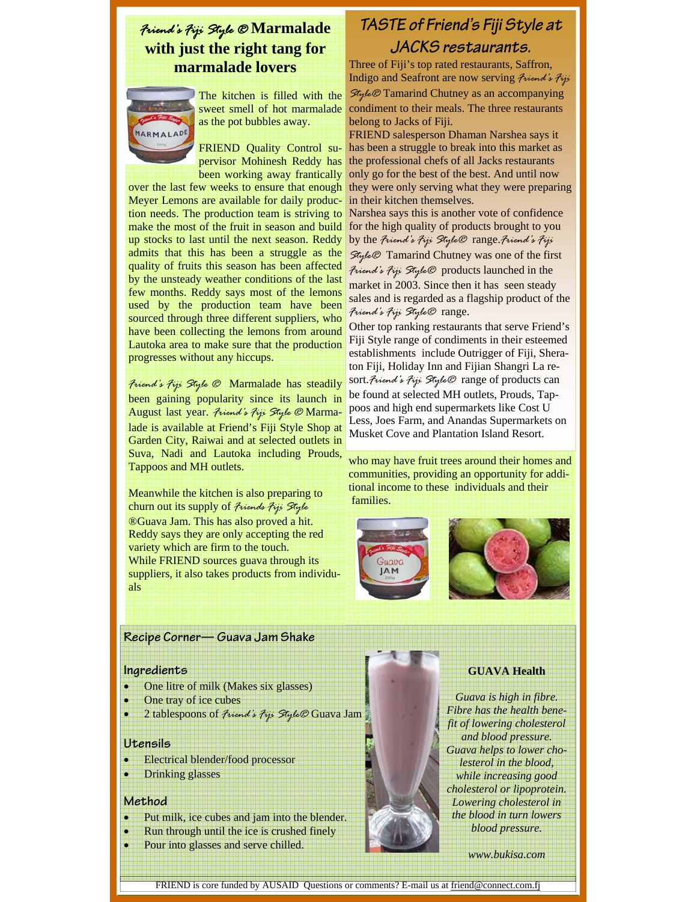## *Friend's Fiji Style ®* **Marmalade with just the right tang for marmalade lovers**



The kitchen is filled with the sweet smell of hot marmalade as the pot bubbles away.

FRIEND Quality Control supervisor Mohinesh Reddy has been working away frantically

over the last few weeks to ensure that enough Meyer Lemons are available for daily production needs. The production team is striving to make the most of the fruit in season and build up stocks to last until the next season. Reddy admits that this has been a struggle as the quality of fruits this season has been affected by the unsteady weather conditions of the last few months. Reddy says most of the lemons used by the production team have been sourced through three different suppliers, who have been collecting the lemons from around Lautoka area to make sure that the production progresses without any hiccups.

*Friend's Fiji Style ®* Marmalade has steadily been gaining popularity since its launch in August last year. *Friend's Fiji Style ®* Marmalade is available at Friend's Fiji Style Shop at Garden City, Raiwai and at selected outlets in Suva, Nadi and Lautoka including Prouds, Tappoos and MH outlets.

Meanwhile the kitchen is also preparing to churn out its supply of *Friends Fiji Style* ®Guava Jam. This has also proved a hit. Reddy says they are only accepting the red variety which are firm to the touch. While FRIEND sources guava through its suppliers, it also takes products from individuals

## **TASTE of Friend's Fiji Style at JACKS restaurants.**

Three of Fiji's top rated restaurants, Saffron, Indigo and Seafront are now serving *Friend's Fiji Style®* Tamarind Chutney as an accompanying condiment to their meals. The three restaurants belong to Jacks of Fiji.

FRIEND salesperson Dhaman Narshea says it has been a struggle to break into this market as the professional chefs of all Jacks restaurants only go for the best of the best. And until now they were only serving what they were preparing in their kitchen themselves.

Narshea says this is another vote of confidence for the high quality of products brought to you by the *Friend's Fiji Style®* range.*Friend's Fiji Style®* Tamarind Chutney was one of the first *Friend's Fiji Style®* products launched in the market in 2003. Since then it has seen steady sales and is regarded as a flagship product of the *Friend's Fiji Style®* range.

Other top ranking restaurants that serve Friend's Fiji Style range of condiments in their esteemed establishments include Outrigger of Fiji, Sheraton Fiji, Holiday Inn and Fijian Shangri La resort.*Friend's Fiji Style®* range of products can be found at selected MH outlets, Prouds, Tappoos and high end supermarkets like Cost U Less, Joes Farm, and Anandas Supermarkets on Musket Cove and Plantation Island Resort.

who may have fruit trees around their homes and communities, providing an opportunity for additional income to these individuals and their families.





#### **Recipe Corner— Guava Jam Shake**

#### **Ingredients**

- One litre of milk (Makes six glasses)
- One tray of ice cubes
- 2 tablespoons of *Friend's Fiji Style®* Guava Jam

#### **Utensils**

- Electrical blender/food processor
- Drinking glasses

#### **Method**

- Put milk, ice cubes and jam into the blender.
- Run through until the ice is crushed finely
- Pour into glasses and serve chilled.

#### **GUAVA Health**

*Guava is high in fibre. Fibre has the health benefit of lowering cholesterol and blood pressure. Guava helps to lower cholesterol in the blood, while increasing good cholesterol or lipoprotein. Lowering cholesterol in the blood in turn lowers blood pressure.* 

*www.bukisa.com* 

FRIEND is core funded by AUSAID Questions or comments? E-mail us at friend@connect.com.fj